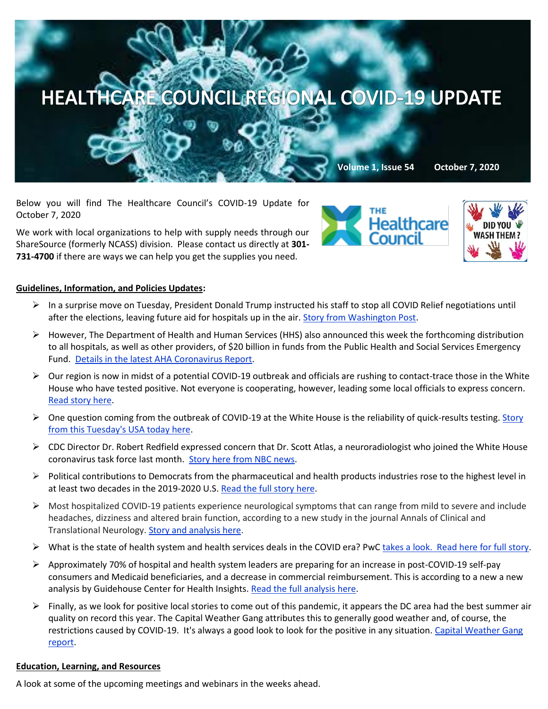

Below you will find The Healthcare Council's COVID-19 Update for October 7, 2020

We work with local organizations to help with supply needs through our ShareSource (formerly NCASS) division. Please contact us directly at **301- 731-4700** if there are ways we can help you get the supplies you need.





### **Guidelines, Information, and Policies Updates:**

- ➢ In a surprise move on Tuesday, President Donald Trump instructed his staff to stop all COVID Relief negotiations until after the elections, leaving future aid for hospitals up in the air[. Story from Washington Post.](https://www.washingtonpost.com/us-policy/2020/10/06/trump-kills-stimulus-talks/)
- ➢ However, The Department of Health and Human Services (HHS) also announced this week the forthcoming distribution to all hospitals, as well as other providers, of \$20 billion in funds from the Public Health and Social Services Emergency Fund. [Details in the latest AHA Coronavirus Report.](https://contentsharing.net/actions/email_web_version.cfm?ep=Bdhtp-zVuqFkgQiV6-lxty0f-nrLBJWzuTngPvD-5dWGqMk0cFbULFRpTqszyzRKFmAeVI20Ygm60n5pLa6Gzl0TZJmwYuzqyCP93HA5cplQ4u0eMQIdW3JG_vNs4lyL)
- $\triangleright$  Our region is now in midst of a potential COVID-19 outbreak and officials are rushing to contact-trace those in the White House who have tested positive. Not everyone is cooperating, however, leading some local officials to express concern. [Read story here.](https://www.usatoday.com/story/news/investigations/2020/10/05/white-house-tracking-trumps-covid-outbreak-sidelines-cdc/3630015001/)
- $\triangleright$  One question coming from the outbreak of COVID-19 at the White House is the reliability of quick-results testing. Story [from this Tuesday's USA today here.](https://www.usatoday.com/story/news/health/2020/10/05/trumps-coronavirus-case-shows-limits-covid-19-testing/3625909001/)
- $\triangleright$  CDC Director Dr. Robert Redfield expressed concern that Dr. Scott Atlas, a neuroradiologist who joined the White House coronavirus task force last month. [Story here from NBC news.](https://www.nbcnews.com/politics/politics-news/redfield-voices-alarm-over-influence-trump-s-new-coronavirus-task-n1241221?mkt_tok=eyJpIjoiT1RsaU5qUmlZMlJtTmpOayIsInQiOiJzeVRhOE53UFFPSTZFWkppQjkwNUpTZ3VEWk9hXC9uYkttWjhvbkNrSkE4OE9cL3hpTGdZZ1ZnRGdLOUVqM09WRGo4MUV6SkJGWmVXQkdQeE9tWjdvcHk4T2hlTzlKZDdmQUdybFRcLzdxRUVhNDBIYVdDTUZ6akdVeEpyZUxXWG9oeCJ9)
- $\triangleright$  Political contributions to Democrats from the pharmaceutical and health products industries rose to the highest level in at least two decades in the 2019-2020 U.S. [Read the full story here.](https://www.spglobal.com/marketintelligence/en/news-insights/latest-news-headlines/pharma-medtech-contributions-to-us-democrats-reach-highest-level-in-20-years-60530853?mkt_tok=eyJpIjoiWXpObVpUTmhNbUUzWkRKaiIsInQiOiI0R0VyRXZCZnVlajA2MDRrMjdFWVI2OUFiZ3BNbFwvT2pldjRmRDJNNVp0emh6TWRjS2xLSU5iSForUFoxYXhpeDNKY2lPWVArZGN3MGlzR0xuSnVGQ1ZzZmRlS0ZRVklZcFY2cmZrYTNwd2UrcnhRZHBoT0NtQ2gweWoyTGZQTHcifQ==)
- $\triangleright$  Most hospitalized COVID-19 patients experience neurological symptoms that can range from mild to severe and include headaches, dizziness and altered brain function, according to a new study in the journal Annals of Clinical and Translational Neurology. [Story and analysis here.](https://www.nbcnews.com/health/health-news/most-hospitalized-covid-patients-have-neurological-symptoms-study-says-n1242143?mkt_tok=eyJpIjoiWXpObVpUTmhNbUUzWkRKaiIsInQiOiI0R0VyRXZCZnVlajA2MDRrMjdFWVI2OUFiZ3BNbFwvT2pldjRmRDJNNVp0emh6TWRjS2xLSU5iSForUFoxYXhpeDNKY2lPWVArZGN3MGlzR0xuSnVGQ1ZzZmRlS0ZRVklZcFY2cmZrYTNwd2UrcnhRZHBoT0NtQ2gweWoyTGZQTHcifQ==)
- ➢ What is the state of health system and health services deals in the COVID era? [PwC takes a look. Read here for full story.](https://www.pwc.com/us/en/industries/health-industries/library/2020-health-systems-deals-pick-up-despite-pandemic.html?WT.mc_id=CT2-PL200-DM2-TR1-LS4-ND8-PR4-CN_HRINEXTINHEALTH10052020-10052020&pwctrackemail=lpitton@healthcare-council.org)
- $\triangleright$  Approximately 70% of hospital and health system leaders are preparing for an increase in post-COVID-19 self-pay consumers and Medicaid beneficiaries, and a decrease in commercial reimbursement. This is according to a new a new analysis by Guidehouse Center for Health Insights[. Read the full analysis here.](https://guidehouse.com/news/corporate-news/2020/gh-hfma-survey)
- $\triangleright$  Finally, as we look for positive local stories to come out of this pandemic, it appears the DC area had the best summer air quality on record this year. The Capital Weather Gang attributes this to generally good weather and, of course, the restrictions caused by COVID-19. It's always a good look to look for the positive in any situation. [Capital Weather Gang](https://www.washingtonpost.com/weather/2020/10/06/dc-air-quality-coronavirus/)  [report.](https://www.washingtonpost.com/weather/2020/10/06/dc-air-quality-coronavirus/)

### **Education, Learning, and Resources**

A look at some of the upcoming meetings and webinars in the weeks ahead.